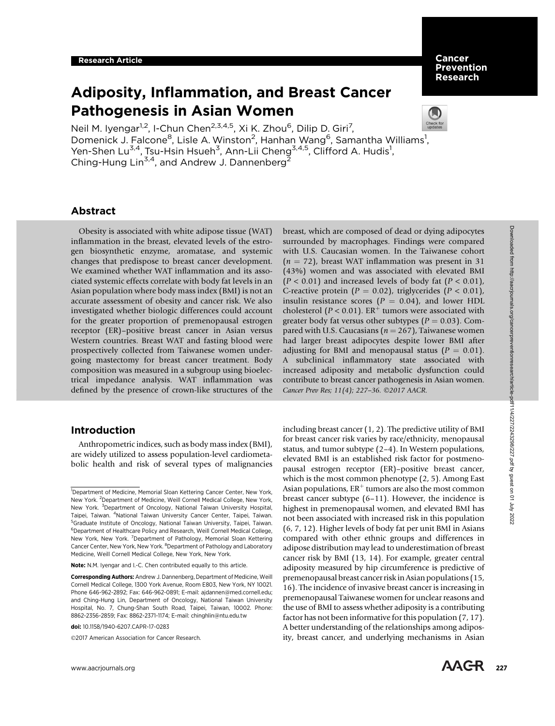# Adiposity, Inflammation, and Breast Cancer Pathogenesis in Asian Women



Neil M. Iyengar<sup>1,2</sup>, I-Chun Chen<sup>2,3,4,5</sup>, Xi K. Zhou<sup>6</sup>, Dilip D. Giri<sup>7</sup>, Domenick J. Falcone<sup>8</sup>, Lisle A. Winston<sup>2</sup>, Hanhan Wang<sup>6</sup>, Samantha Williams<sup>1</sup>, Yen-Shen Lu<sup>3,4</sup>, Tsu-Hsin Hsueh<sup>3</sup>, Ann-Lii Cheng<sup>3,4,5</sup>, Clifford A. Hudis<sup>1</sup>, Ching-Hung Lin<sup>3,4</sup>, and Andrew J. Dannenberg<sup>2</sup>

# Abstract

Obesity is associated with white adipose tissue (WAT) inflammation in the breast, elevated levels of the estrogen biosynthetic enzyme, aromatase, and systemic changes that predispose to breast cancer development. We examined whether WAT inflammation and its associated systemic effects correlate with body fat levels in an Asian population where body mass index (BMI) is not an accurate assessment of obesity and cancer risk. We also investigated whether biologic differences could account for the greater proportion of premenopausal estrogen receptor (ER)–positive breast cancer in Asian versus Western countries. Breast WAT and fasting blood were prospectively collected from Taiwanese women undergoing mastectomy for breast cancer treatment. Body composition was measured in a subgroup using bioelectrical impedance analysis. WAT inflammation was defined by the presence of crown-like structures of the

# Introduction

Anthropometric indices, such as body mass index (BMI), are widely utilized to assess population-level cardiometabolic health and risk of several types of malignancies

©2017 American Association for Cancer Research.

breast, which are composed of dead or dying adipocytes surrounded by macrophages. Findings were compared with U.S. Caucasian women. In the Taiwanese cohort  $(n = 72)$ , breast WAT inflammation was present in 31 (43%) women and was associated with elevated BMI  $(P < 0.01)$  and increased levels of body fat  $(P < 0.01)$ , C-reactive protein ( $P = 0.02$ ), triglycerides ( $P < 0.01$ ), insulin resistance scores ( $P = 0.04$ ), and lower HDL cholesterol ( $P < 0.01$ ). ER<sup>+</sup> tumors were associated with greater body fat versus other subtypes ( $P = 0.03$ ). Compared with U.S. Caucasians ( $n = 267$ ), Taiwanese women had larger breast adipocytes despite lower BMI after adjusting for BMI and menopausal status ( $P = 0.01$ ). A subclinical inflammatory state associated with increased adiposity and metabolic dysfunction could contribute to breast cancer pathogenesis in Asian women. Cancer Prev Res; 11(4); 227-36. ©2017 AACR.

including breast cancer (1, 2). The predictive utility of BMI for breast cancer risk varies by race/ethnicity, menopausal status, and tumor subtype (2–4). In Western populations, elevated BMI is an established risk factor for postmenopausal estrogen receptor (ER)–positive breast cancer, which is the most common phenotype (2, 5). Among East Asian populations,  $ER^+$  tumors are also the most common breast cancer subtype (6–11). However, the incidence is highest in premenopausal women, and elevated BMI has not been associated with increased risk in this population (6, 7, 12). Higher levels of body fat per unit BMI in Asians compared with other ethnic groups and differences in adipose distribution may lead to underestimation of breast cancer risk by BMI (13, 14). For example, greater central adiposity measured by hip circumference is predictive of premenopausal breast cancer risk in Asian populations (15, 16). The incidence of invasive breast cancer is increasing in premenopausal Taiwanese women for unclear reasons and the use of BMI to assess whether adiposity is a contributing factor has not been informative for this population (7, 17). A better understanding of the relationships among adiposity, breast cancer, and underlying mechanisms in Asian

<sup>&</sup>lt;sup>1</sup>Department of Medicine, Memorial Sloan Kettering Cancer Center, New York, New York. <sup>2</sup>Department of Medicine, Weill Cornell Medical College, New York, New York. <sup>3</sup>Department of Oncology, National Taiwan University Hospital, Taipei, Taiwan. <sup>4</sup>National Taiwan University Cancer Center, Taipei, Taiwan. 5 Graduate Institute of Oncology, National Taiwan University, Taipei, Taiwan. 6 Department of Healthcare Policy and Research, Weill Cornell Medical College, New York, New York. <sup>7</sup>Department of Pathology, Memorial Sloan Kettering Cancer Center, New York, New York. <sup>8</sup>Department of Pathology and Laboratory Medicine, Weill Cornell Medical College, New York, New York.

Note: N.M. Iyengar and I.-C. Chen contributed equally to this article.

Corresponding Authors: Andrew J. Dannenberg, Department of Medicine, Weill Cornell Medical College, 1300 York Avenue, Room E803, New York, NY 10021. Phone 646-962-2892; Fax: 646-962-0891; E-mail: ajdannen@med.cornell.edu; and Ching-Hung Lin, Department of Oncology, National Taiwan University Hospital, No. 7, Chung-Shan South Road, Taipei, Taiwan, 10002. Phone: 8862-2356-2859; Fax: 8862-2371-1174; E-mail: chinghlin@ntu.edu.tw

doi: 10.1158/1940-6207.CAPR-17-0283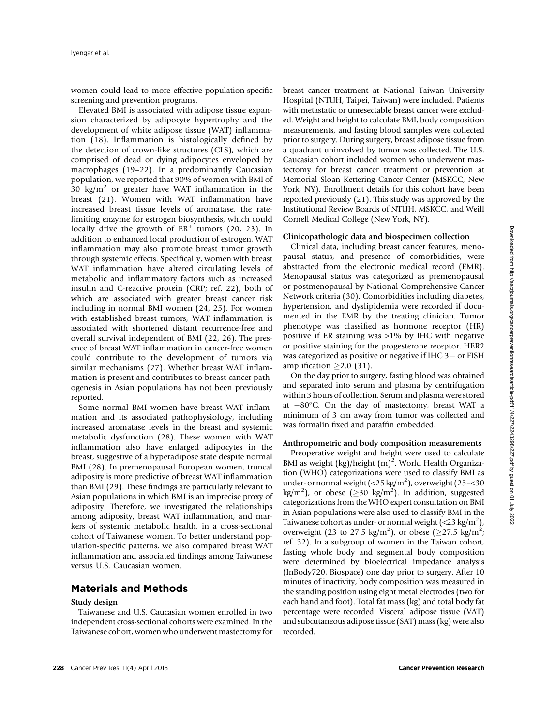women could lead to more effective population-specific screening and prevention programs.

Elevated BMI is associated with adipose tissue expansion characterized by adipocyte hypertrophy and the development of white adipose tissue (WAT) inflammation (18). Inflammation is histologically defined by the detection of crown-like structures (CLS), which are comprised of dead or dying adipocytes enveloped by macrophages (19–22). In a predominantly Caucasian population, we reported that 90% of women with BMI of 30 kg/ $m^2$  or greater have WAT inflammation in the breast (21). Women with WAT inflammation have increased breast tissue levels of aromatase, the ratelimiting enzyme for estrogen biosynthesis, which could locally drive the growth of  $ER^+$  tumors (20, 23). In addition to enhanced local production of estrogen, WAT inflammation may also promote breast tumor growth through systemic effects. Specifically, women with breast WAT inflammation have altered circulating levels of metabolic and inflammatory factors such as increased insulin and C-reactive protein (CRP; ref. 22), both of which are associated with greater breast cancer risk including in normal BMI women (24, 25). For women with established breast tumors, WAT inflammation is associated with shortened distant recurrence-free and overall survival independent of BMI (22, 26). The presence of breast WAT inflammation in cancer-free women could contribute to the development of tumors via similar mechanisms (27). Whether breast WAT inflammation is present and contributes to breast cancer pathogenesis in Asian populations has not been previously reported.

Some normal BMI women have breast WAT inflammation and its associated pathophysiology, including increased aromatase levels in the breast and systemic metabolic dysfunction (28). These women with WAT inflammation also have enlarged adipocytes in the breast, suggestive of a hyperadipose state despite normal BMI (28). In premenopausal European women, truncal adiposity is more predictive of breast WAT inflammation than BMI (29). These findings are particularly relevant to Asian populations in which BMI is an imprecise proxy of adiposity. Therefore, we investigated the relationships among adiposity, breast WAT inflammation, and markers of systemic metabolic health, in a cross-sectional cohort of Taiwanese women. To better understand population-specific patterns, we also compared breast WAT inflammation and associated findings among Taiwanese versus U.S. Caucasian women.

# Materials and Methods

## Study design

Taiwanese and U.S. Caucasian women enrolled in two independent cross-sectional cohorts were examined. In the Taiwanese cohort, women who underwent mastectomy for breast cancer treatment at National Taiwan University Hospital (NTUH, Taipei, Taiwan) were included. Patients with metastatic or unresectable breast cancer were excluded. Weight and height to calculate BMI, body composition measurements, and fasting blood samples were collected prior to surgery. During surgery, breast adipose tissue from a quadrant uninvolved by tumor was collected. The U.S. Caucasian cohort included women who underwent mastectomy for breast cancer treatment or prevention at Memorial Sloan Kettering Cancer Center (MSKCC, New York, NY). Enrollment details for this cohort have been reported previously (21). This study was approved by the Institutional Review Boards of NTUH, MSKCC, and Weill Cornell Medical College (New York, NY).

#### Clinicopathologic data and biospecimen collection

Clinical data, including breast cancer features, menopausal status, and presence of comorbidities, were abstracted from the electronic medical record (EMR). Menopausal status was categorized as premenopausal or postmenopausal by National Comprehensive Cancer Network criteria (30). Comorbidities including diabetes, hypertension, and dyslipidemia were recorded if documented in the EMR by the treating clinician. Tumor phenotype was classified as hormone receptor (HR) positive if ER staining was >1% by IHC with negative or positive staining for the progesterone receptor. HER2 was categorized as positive or negative if IHC  $3+$  or FISH amplification  $\geq$  2.0 (31).

On the day prior to surgery, fasting blood was obtained and separated into serum and plasma by centrifugation within 3 hours of collection. Serum and plasma were stored at  $-80^{\circ}$ C. On the day of mastectomy, breast WAT a minimum of 3 cm away from tumor was collected and was formalin fixed and paraffin embedded.

# Anthropometric and body composition measurements

Preoperative weight and height were used to calculate BMI as weight  $(kg)/$ height  $(m)^2$ . World Health Organization (WHO) categorizations were used to classify BMI as under- or normal weight  $(<$  25 kg/m<sup>2</sup>), overweight (25 - < 30 kg/m<sup>2</sup>), or obese ( $\geq$ 30 kg/m<sup>2</sup>). In addition, suggested categorizations from the WHO expert consultation on BMI in Asian populations were also used to classify BMI in the Taiwanese cohort as under- or normal weight  $(<$  23 kg/m<sup>2</sup>), overweight (23 to 27.5 kg/m<sup>2</sup>), or obese ( $\geq$ 27.5 kg/m<sup>2</sup>; ref. 32). In a subgroup of women in the Taiwan cohort, fasting whole body and segmental body composition were determined by bioelectrical impedance analysis (InBody720, Biospace) one day prior to surgery. After 10 minutes of inactivity, body composition was measured in the standing position using eight metal electrodes (two for each hand and foot). Total fat mass (kg) and total body fat percentage were recorded. Visceral adipose tissue (VAT) and subcutaneous adipose tissue (SAT) mass (kg) were also recorded.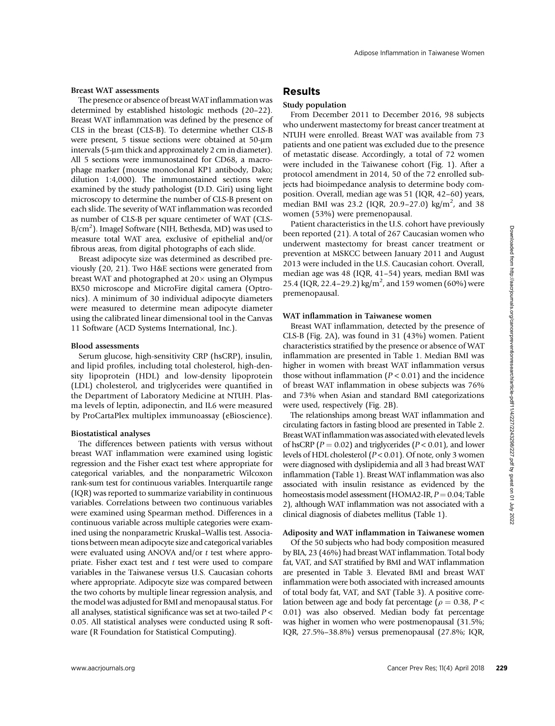### Breast WAT assessments

The presence or absence of breast WAT inflammation was determined by established histologic methods (20–22). Breast WAT inflammation was defined by the presence of CLS in the breast (CLS-B). To determine whether CLS-B were present, 5 tissue sections were obtained at 50-µm intervals (5-µm thick and approximately 2 cm in diameter). All 5 sections were immunostained for CD68, a macrophage marker (mouse monoclonal KP1 antibody, Dako; dilution 1:4,000). The immunostained sections were examined by the study pathologist (D.D. Giri) using light microscopy to determine the number of CLS-B present on each slide. The severity of WAT inflammation was recorded as number of CLS-B per square centimeter of WAT (CLS-B/cm<sup>2</sup>). ImageJ Software (NIH, Bethesda, MD) was used to measure total WAT area, exclusive of epithelial and/or fibrous areas, from digital photographs of each slide.

Breast adipocyte size was determined as described previously (20, 21). Two H&E sections were generated from breast WAT and photographed at  $20 \times$  using an Olympus BX50 microscope and MicroFire digital camera (Optronics). A minimum of 30 individual adipocyte diameters were measured to determine mean adipocyte diameter using the calibrated linear dimensional tool in the Canvas 11 Software (ACD Systems International, Inc.).

#### Blood assessments

Serum glucose, high-sensitivity CRP (hsCRP), insulin, and lipid profiles, including total cholesterol, high-density lipoprotein (HDL) and low-density lipoprotein (LDL) cholesterol, and triglycerides were quantified in the Department of Laboratory Medicine at NTUH. Plasma levels of leptin, adiponectin, and IL6 were measured by ProCartaPlex multiplex immunoassay (eBioscience).

## Biostatistical analyses

The differences between patients with versus without breast WAT inflammation were examined using logistic regression and the Fisher exact test where appropriate for categorical variables, and the nonparametric Wilcoxon rank-sum test for continuous variables. Interquartile range (IQR) was reported to summarize variability in continuous variables. Correlations between two continuous variables were examined using Spearman method. Differences in a continuous variable across multiple categories were examined using the nonparametric Kruskal–Wallis test. Associations between mean adipocyte size and categorical variables were evaluated using ANOVA and/or t test where appropriate. Fisher exact test and  $t$  test were used to compare variables in the Taiwanese versus U.S. Caucasian cohorts where appropriate. Adipocyte size was compared between the two cohorts by multiple linear regression analysis, and the model was adjusted for BMI and menopausal status. For all analyses, statistical significance was set at two-tailed  $P$  < 0.05. All statistical analyses were conducted using R software (R Foundation for Statistical Computing).

# Results

# Study population

From December 2011 to December 2016, 98 subjects who underwent mastectomy for breast cancer treatment at NTUH were enrolled. Breast WAT was available from 73 patients and one patient was excluded due to the presence of metastatic disease. Accordingly, a total of 72 women were included in the Taiwanese cohort (Fig. 1). After a protocol amendment in 2014, 50 of the 72 enrolled subjects had bioimpedance analysis to determine body composition. Overall, median age was 51 (IQR, 42–60) years, median BMI was 23.2 (IQR, 20.9-27.0) kg/m<sup>2</sup>, and 38 women (53%) were premenopausal.

Patient characteristics in the U.S. cohort have previously been reported (21). A total of 267 Caucasian women who underwent mastectomy for breast cancer treatment or prevention at MSKCC between January 2011 and August 2013 were included in the U.S. Caucasian cohort. Overall, median age was 48 (IQR, 41–54) years, median BMI was 25.4 (IQR, 22.4-29.2) kg/m<sup>2</sup>, and 159 women (60%) were premenopausal.

#### WAT inflammation in Taiwanese women

Breast WAT inflammation, detected by the presence of CLS-B (Fig. 2A), was found in 31 (43%) women. Patient characteristics stratified by the presence or absence of WAT inflammation are presented in Table 1. Median BMI was higher in women with breast WAT inflammation versus those without inflammation  $(P < 0.01)$  and the incidence of breast WAT inflammation in obese subjects was 76% and 73% when Asian and standard BMI categorizations were used, respectively (Fig. 2B).

The relationships among breast WAT inflammation and circulating factors in fasting blood are presented in Table 2. BreastWATinflammation was associated with elevated levels of hsCRP ( $P = 0.02$ ) and triglycerides ( $P < 0.01$ ), and lower levels of HDL cholesterol (P < 0.01). Of note, only 3 women were diagnosed with dyslipidemia and all 3 had breast WAT inflammation (Table 1). Breast WAT inflammation was also associated with insulin resistance as evidenced by the homeostasis model assessment (HOMA2-IR,  $P = 0.04$ ; Table 2), although WAT inflammation was not associated with a clinical diagnosis of diabetes mellitus (Table 1).

## Adiposity and WAT inflammation in Taiwanese women

Of the 50 subjects who had body composition measured by BIA, 23 (46%) had breast WAT inflammation. Total body fat, VAT, and SAT stratified by BMI and WAT inflammation are presented in Table 3. Elevated BMI and breast WAT inflammation were both associated with increased amounts of total body fat, VAT, and SAT (Table 3). A positive correlation between age and body fat percentage ( $\rho = 0.38$ , P < 0.01) was also observed. Median body fat percentage was higher in women who were postmenopausal (31.5%; IQR, 27.5%–38.8%) versus premenopausal (27.8%; IQR,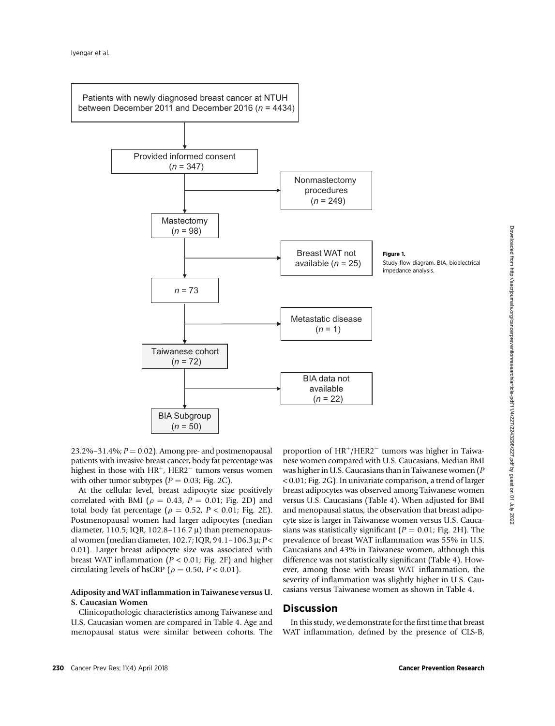

23.2%–31.4%;  $P = 0.02$ ). Among pre- and postmenopausal patients with invasive breast cancer, body fat percentage was highest in those with  $HR^+$ , HER2<sup> $-$ </sup> tumors versus women with other tumor subtypes ( $P = 0.03$ ; Fig. 2C).

At the cellular level, breast adipocyte size positively correlated with BMI ( $\rho = 0.43$ ,  $P = 0.01$ ; Fig. 2D) and total body fat percentage ( $\rho = 0.52$ ,  $P < 0.01$ ; Fig. 2E). Postmenopausal women had larger adipocytes (median diameter, 110.5; IQR, 102.8–116.7  $\mu$ ) than premenopausal women (median diameter, 102.7; IQR, 94.1-106.3  $\mu$ ; P < 0.01). Larger breast adipocyte size was associated with breast WAT inflammation ( $P < 0.01$ ; Fig. 2F) and higher circulating levels of hsCRP ( $\rho = 0.50$ ,  $P < 0.01$ ).

# Adiposity and WAT inflammation in Taiwanese versus U. S. Caucasian Women

Clinicopathologic characteristics among Taiwanese and U.S. Caucasian women are compared in Table 4. Age and menopausal status were similar between cohorts. The proportion of  $HR^{+}/HER2^{-}$  tumors was higher in Taiwanese women compared with U.S. Caucasians. Median BMI was higher in U.S. Caucasians than in Taiwanese women (P < 0.01; Fig. 2G). In univariate comparison, a trend of larger breast adipocytes was observed among Taiwanese women versus U.S. Caucasians (Table 4). When adjusted for BMI and menopausal status, the observation that breast adipocyte size is larger in Taiwanese women versus U.S. Caucasians was statistically significant ( $P = 0.01$ ; Fig. 2H). The prevalence of breast WAT inflammation was 55% in U.S. Caucasians and 43% in Taiwanese women, although this difference was not statistically significant (Table 4). However, among those with breast WAT inflammation, the severity of inflammation was slightly higher in U.S. Caucasians versus Taiwanese women as shown in Table 4.

# **Discussion**

In this study, we demonstrate for the first time that breast WAT inflammation, defined by the presence of CLS-B,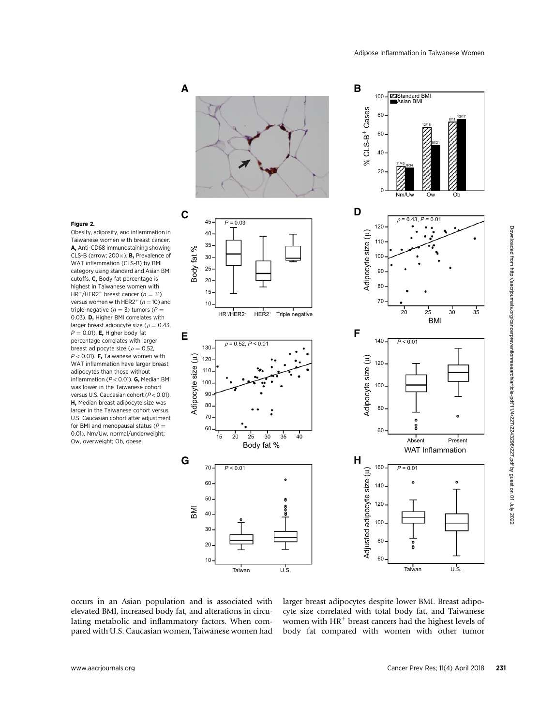

# Figure 2.

Obesity, adiposity, and inflammation in Taiwanese women with breast cancer. A, Anti-CD68 immunostaining showing CLS-B (arrow; 200 $\times$ ). **B**, Prevalence of WAT inflammation (CLS-B) by BMI category using standard and Asian BMI cutoffs. C, Body fat percentage is highest in Taiwanese women with  $HR<sup>+</sup>/HER2<sup>-</sup>$  breast cancer ( $n = 31$ ) versus women with HER2<sup>+</sup> ( $n = 10$ ) and triple-negative ( $n = 3$ ) tumors ( $P =$ 0.03). D, Higher BMI correlates with larger breast adipocyte size ( $\rho = 0.43$ ,  $P = 0.01$ ). **E**, Higher body fat percentage correlates with larger breast adipocyte size ( $\rho = 0.52$ ,  $P < 0.01$ ). **F**, Taiwanese women with WAT inflammation have larger breast adipocytes than those without inflammation ( $P < 0.01$ ). G, Median BMI was lower in the Taiwanese cohort versus U.S. Caucasian cohort (P < 0.01). H, Median breast adipocyte size was larger in the Taiwanese cohort versus U.S. Caucasian cohort after adjustment for BMI and menopausal status ( $P =$ 0.01). Nm/Uw, normal/underweight; Ow, overweight; Ob, obese.

occurs in an Asian population and is associated with elevated BMI, increased body fat, and alterations in circulating metabolic and inflammatory factors. When compared with U.S. Caucasian women, Taiwanese women had larger breast adipocytes despite lower BMI. Breast adipocyte size correlated with total body fat, and Taiwanese women with  $HR<sup>+</sup>$  breast cancers had the highest levels of body fat compared with women with other tumor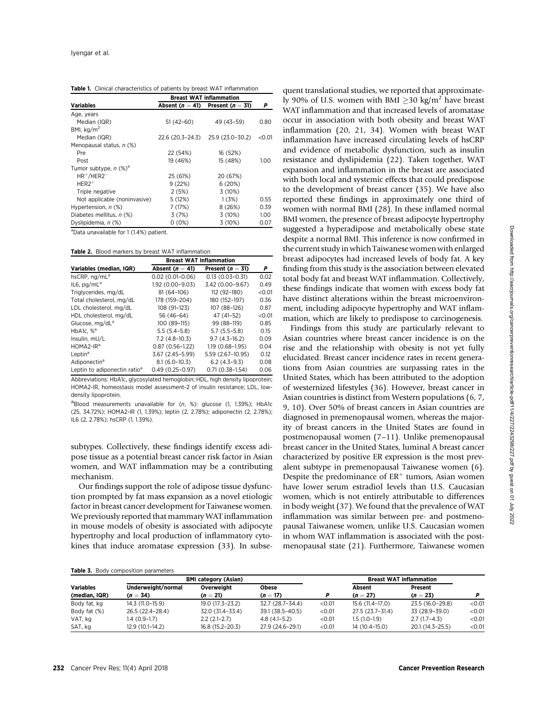|                                     | <b>Breast WAT inflammation</b> |                    |        |
|-------------------------------------|--------------------------------|--------------------|--------|
| <b>Variables</b>                    | Absent ( $n=41$ )              | Present $(n = 31)$ | Р      |
| Age, years                          |                                |                    |        |
| Median (IQR)                        | $51(42-60)$                    | 49 (43-59)         | 0.80   |
| BMI, $kg/m2$                        |                                |                    |        |
| Median (IQR)                        | 22.6 (20.3-24.3)               | 25.9 (23.0-30.2)   | < 0.01 |
| Menopausal status, n (%)            |                                |                    |        |
| Pre                                 | 22 (54%)                       | 16 (52%)           |        |
| Post                                | 19 (46%)                       | 15 (48%)           | 1.00   |
| Tumor subtype, $n$ (%) <sup>a</sup> |                                |                    |        |
| $HR+/HER2-$                         | 25 (61%)                       | 20 (67%)           |        |
| $HER2+$                             | 9(22%)                         | 6 (20%)            |        |
| Triple negative                     | 2(5%)                          | 3 (10%)            |        |
| Not applicable (noninvasive)        | 5(12%)                         | 1(3%)              | 0.55   |
| Hypertension, n (%)                 | 7 (17%)                        | 8(26%)             | 0.39   |
| Diabetes mellitus, n (%)            | 3(7%)                          | 3(10%)             | 1.00   |
| Dyslipidemia, n (%)                 | 0 (0%)                         | 3 (10%)            | 0.07   |
|                                     |                                |                    |        |

<sup>a</sup>Data unavailable for 1 (1.4%) patient.

Table 2. Blood markers by breast WAT inflammation

|                                          | <b>Breast WAT Inflammation</b> |                      |        |
|------------------------------------------|--------------------------------|----------------------|--------|
| Variables (median, IQR)                  | Absent ( $n = 41$ )            | Present ( $n = 31$ ) | Р      |
| hsCRP, ng/mL <sup>a</sup>                | $0.02(0.01 - 0.06)$            | $0.13(0.03 - 0.31)$  | 0.02   |
| IL6, $pq/mLa$                            | 1.92 (0.00-9.03)               | 3.42 (0.00-9.67)     | 0.49   |
| Triglycerides, mg/dL                     | 81 (64-106)                    | 112 (92-180)         | < 0.01 |
| Total cholesterol, mg/dL                 | 178 (159-204)                  | 180 (152-197)        | 0.36   |
| LDL cholesterol. mg/dL                   | 108 (91-123)                   | 107 (88-126)         | 0.87   |
| HDL cholesterol, mg/dL                   | 56 (46-64)                     | 47 (41-52)           | < 0.01 |
| Glucose, mg/dL <sup>a</sup>              | 100 (89-115)                   | 99 (88-119)          | 0.85   |
| HbA1c. $%^a$                             | $5.5(5.4-5.8)$                 | $5.7(5.5-5.8)$       | 0.15   |
| Insulin, mU/L                            | $7.2(4.8-10.3)$                | $9.7(4.3-16.2)$      | 0.09   |
| $HOMA2-IRa$                              | $0.87(0.56 - 1.22)$            | $1.19(0.68 - 1.95)$  | 0.04   |
| Leptin <sup>a</sup>                      | 3.67 (2.45-5.99)               | 5.59 (2.67-10.95)    | 0.12   |
| Adiponectin <sup>a</sup>                 | $8.1(6.0-10.3)$                | $6.2(4.3-9.3)$       | 0.08   |
| Leptin to adiponectin ratio <sup>a</sup> | $0.49(0.25 - 0.97)$            | $0.71(0.38-1.54)$    | 0.06   |

Abbreviations: HbA1c, glycosylated hemoglobin; HDL, high density lipoprotein; HOMA2-IR, homeostasis model assessment-2 of insulin resistance; LDL, lowdensity lipoprotein.

<sup>a</sup>Blood measurements unavailable for (n, %): glucose (1, 1.39%); HbA1c (25, 34.72%); HOMA2-IR (1, 1.39%); leptin (2, 2.78%); adiponectin (2, 2.78%); IL6 (2, 2.78%); hsCRP (1, 1.39%).

subtypes. Collectively, these findings identify excess adipose tissue as a potential breast cancer risk factor in Asian women, and WAT inflammation may be a contributing mechanism.

Our findings support the role of adipose tissue dysfunction prompted by fat mass expansion as a novel etiologic factor in breast cancer development for Taiwanese women. We previously reported that mammary WAT inflammation in mouse models of obesity is associated with adipocyte hypertrophy and local production of inflammatory cytokines that induce aromatase expression (33). In subse-

quent translational studies, we reported that approximately 90% of U.S. women with BMI  $\geq$  30 kg/m<sup>2</sup> have breast WAT inflammation and that increased levels of aromatase occur in association with both obesity and breast WAT inflammation (20, 21, 34). Women with breast WAT inflammation have increased circulating levels of hsCRP and evidence of metabolic dysfunction, such as insulin resistance and dyslipidemia (22). Taken together, WAT expansion and inflammation in the breast are associated with both local and systemic effects that could predispose to the development of breast cancer (35). We have also reported these findings in approximately one third of women with normal BMI (28). In these inflamed normal BMI women, the presence of breast adipocyte hypertrophy suggested a hyperadipose and metabolically obese state despite a normal BMI. This inference is now confirmed in the current study in which Taiwanese women with enlarged breast adipocytes had increased levels of body fat. A key finding from this study is the association between elevated total body fat and breast WAT inflammation. Collectively, these findings indicate that women with excess body fat have distinct alterations within the breast microenvironment, including adipocyte hypertrophy and WAT inflammation, which are likely to predispose to carcinogenesis.

Findings from this study are particularly relevant to Asian countries where breast cancer incidence is on the rise and the relationship with obesity is not yet fully elucidated. Breast cancer incidence rates in recent generations from Asian countries are surpassing rates in the United States, which has been attributed to the adoption of westernized lifestyles (36). However, breast cancer in Asian countries is distinct from Western populations (6, 7, 9, 10). Over 50% of breast cancers in Asian countries are diagnosed in premenopausal women, whereas the majority of breast cancers in the United States are found in postmenopausal women (7–11). Unlike premenopausal breast cancer in the United States, luminal A breast cancer characterized by positive ER expression is the most prevalent subtype in premenopausal Taiwanese women (6). Despite the predominance of  $ER<sup>+</sup>$  tumors, Asian women have lower serum estradiol levels than U.S. Caucasian women, which is not entirely attributable to differences in body weight (37). We found that the prevalence of WAT inflammation was similar between pre- and postmenopausal Taiwanese women, unlike U.S. Caucasian women in whom WAT inflammation is associated with the postmenopausal state (21). Furthermore, Taiwanese women

| Table 3. Body composition parameters |  |  |  |  |
|--------------------------------------|--|--|--|--|
|--------------------------------------|--|--|--|--|

|                  |                    | <b>BMI category (Asian)</b> |                  |        | <b>Breast WAT inflammation</b> |                  |        |
|------------------|--------------------|-----------------------------|------------------|--------|--------------------------------|------------------|--------|
| <b>Variables</b> | Underweight/normal | Overweight                  | <b>Obese</b>     |        | Absent                         | Present          |        |
| (median, IQR)    | $(n = 34)$         | $(n = 21)$                  | $(n = 17)$       | D      | $(n = 27)$                     | $(n = 23)$       |        |
| Body fat, kg     | 14.3 (11.0-15.9)   | 19.0 (17.3-23.2)            | 32.7 (28.7-34.4) | < 0.01 | 15.6 (11.4-17.0)               | 23.5 (16.0-29.8) | < 0.01 |
| Body fat (%)     | 26.5 (22.4–28.4)   | 32.0 (31.4-33.4)            | 39.1 (38.5-40.5) | < 0.01 | 27.5 (23.7-31.4)               | 33 (28.9-39.0)   | < 0.01 |
| VAT, kg          | 1.4 (0.9–1.7)      | $2.2(2.1-2.7)$              | $4.8(4.1-5.2)$   | < 0.01 | $1.5(1.0-1.9)$                 | $2.7(1.7-4.3)$   | < 0.01 |
| SAT, kg          | 12.9 (10.1-14.2)   | 16.8 (15.2-20.3)            | 27.9 (24.6-29.1) | < 0.01 | 14 (10.4-15.0)                 | 20.1 (14.3-25.5) | < 0.01 |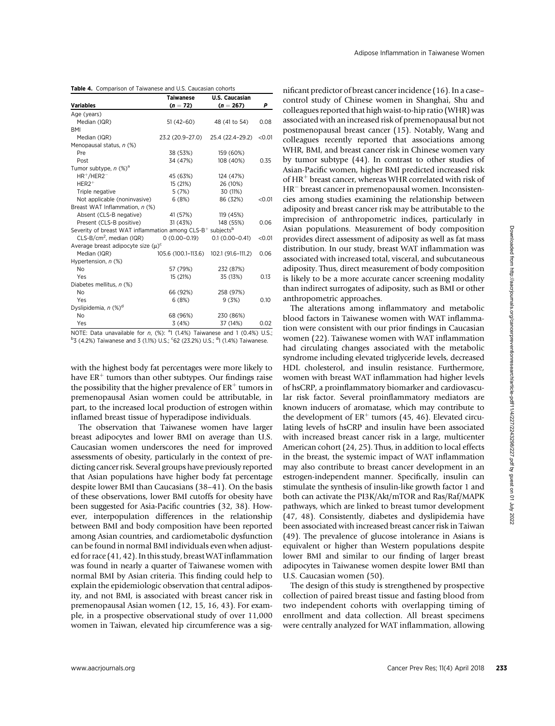|                                                                                    | <b>Taiwanese</b>    | <b>U.S. Caucasian</b> |        |
|------------------------------------------------------------------------------------|---------------------|-----------------------|--------|
| <b>Variables</b>                                                                   | $(n = 72)$          | $(n = 267)$           | Ρ      |
| Age (years)                                                                        |                     |                       |        |
| Median (IQR)                                                                       | $51(42-60)$         | 48 (41 to 54)         | 0.08   |
| BMI                                                                                |                     |                       |        |
| Median (IQR)                                                                       | 23.2 (20.9-27.0)    | 25.4 (22.4-29.2)      | < 0.01 |
| Menopausal status, n (%)                                                           |                     |                       |        |
| Pre                                                                                | 38 (53%)            | 159 (60%)             |        |
| Post                                                                               | 34 (47%)            | 108 (40%)             | 0.35   |
| Tumor subtype, $n$ (%) <sup>a</sup>                                                |                     |                       |        |
| $HR^+/HER2^-$                                                                      | 45 (63%)            | 124 (47%)             |        |
| $HER2+$                                                                            | 15 (21%)            | 26 (10%)              |        |
| Triple negative                                                                    | 5(7%)               | 30 (11%)              |        |
| Not applicable (noninvasive)                                                       | 6(8%)               | 86 (32%)              | < 0.01 |
| Breast WAT Inflammation, n (%)                                                     |                     |                       |        |
| Absent (CLS-B negative)                                                            | 41 (57%)            | 119 (45%)             |        |
| Present (CLS-B positive)                                                           | 31 (43%)            | 148 (55%)             | 0.06   |
| Severity of breast WAT inflammation among CLS-B <sup>+</sup> subjects <sup>b</sup> |                     |                       |        |
| $CLS-B/cm2$ , median (IQR)                                                         | $0(0.00 - 0.19)$    | $0.1(0.00 - 0.41)$    | < 0.01 |
| Average breast adipocyte size $(u)^c$                                              |                     |                       |        |
| Median (IQR)                                                                       | 105.6 (100.1-113.6) | 102.1 (91.6-111.2)    | 0.06   |
| Hypertension, n (%)                                                                |                     |                       |        |
| N <sub>o</sub>                                                                     | 57 (79%)            | 232 (87%)             |        |
| Yes                                                                                | 15 (21%)            | 35 (13%)              | 0.13   |
| Diabetes mellitus, n (%)                                                           |                     |                       |        |
| N <sub>o</sub>                                                                     | 66 (92%)            | 258 (97%)             |        |
| Yes                                                                                | 6 (8%)              | 9(3%)                 | 0.10   |
| Dyslipidemia, n (%) <sup>a</sup>                                                   |                     |                       |        |
| No                                                                                 | 68 (96%)            | 230 (86%)             |        |
| Yes                                                                                | 3(4%)               | 37 (14%)              | 0.02   |

NOTE: Data unavailable for  $n$ ,  $%$ ):  $^{a}1$  (1.4%) Taiwanese and 1 (0.4%) U.S.;  $^{b}$ 3 (4.2%) Taiwanese and 3 (1.1%) U.S.;  $^{c}$ 62 (23.2%) U.S.; <sup>d</sup>1 (1.4%) Taiwanese.

with the highest body fat percentages were more likely to have  $ER^+$  tumors than other subtypes. Our findings raise the possibility that the higher prevalence of  $ER^+$  tumors in premenopausal Asian women could be attributable, in part, to the increased local production of estrogen within inflamed breast tissue of hyperadipose individuals.

The observation that Taiwanese women have larger breast adipocytes and lower BMI on average than U.S. Caucasian women underscores the need for improved assessments of obesity, particularly in the context of predicting cancer risk. Several groups have previously reported that Asian populations have higher body fat percentage despite lower BMI than Caucasians (38–41). On the basis of these observations, lower BMI cutoffs for obesity have been suggested for Asia-Pacific countries (32, 38). However, interpopulation differences in the relationship between BMI and body composition have been reported among Asian countries, and cardiometabolic dysfunction can be found in normal BMI individuals even when adjusted for race (41, 42). In this study, breast WAT inflammation was found in nearly a quarter of Taiwanese women with normal BMI by Asian criteria. This finding could help to explain the epidemiologic observation that central adiposity, and not BMI, is associated with breast cancer risk in premenopausal Asian women (12, 15, 16, 43). For example, in a prospective observational study of over 11,000 women in Taiwan, elevated hip circumference was a significant predictor of breast cancer incidence (16). In a case– control study of Chinese women in Shanghai, Shu and colleagues reported that high waist-to-hip ratio (WHR) was associated with an increased risk of premenopausal but not postmenopausal breast cancer (15). Notably, Wang and colleagues recently reported that associations among WHR, BMI, and breast cancer risk in Chinese women vary by tumor subtype (44). In contrast to other studies of Asian-Pacific women, higher BMI predicted increased risk of HR<sup>+</sup> breast cancer, whereas WHR correlated with risk of HR<sup>-</sup> breast cancer in premenopausal women. Inconsistencies among studies examining the relationship between adiposity and breast cancer risk may be attributable to the imprecision of anthropometric indices, particularly in Asian populations. Measurement of body composition provides direct assessment of adiposity as well as fat mass distribution. In our study, breast WAT inflammation was associated with increased total, visceral, and subcutaneous adiposity. Thus, direct measurement of body composition is likely to be a more accurate cancer screening modality than indirect surrogates of adiposity, such as BMI or other anthropometric approaches.

The alterations among inflammatory and metabolic blood factors in Taiwanese women with WAT inflammation were consistent with our prior findings in Caucasian women (22). Taiwanese women with WAT inflammation had circulating changes associated with the metabolic syndrome including elevated triglyceride levels, decreased HDL cholesterol, and insulin resistance. Furthermore, women with breast WAT inflammation had higher levels of hsCRP, a proinflammatory biomarker and cardiovascular risk factor. Several proinflammatory mediators are known inducers of aromatase, which may contribute to the development of  $ER^+$  tumors (45, 46). Elevated circulating levels of hsCRP and insulin have been associated with increased breast cancer risk in a large, multicenter American cohort (24, 25). Thus, in addition to local effects in the breast, the systemic impact of WAT inflammation may also contribute to breast cancer development in an estrogen-independent manner. Specifically, insulin can stimulate the synthesis of insulin-like growth factor 1 and both can activate the PI3K/Akt/mTOR and Ras/Raf/MAPK pathways, which are linked to breast tumor development (47, 48). Consistently, diabetes and dyslipidemia have been associated with increased breast cancer risk in Taiwan (49). The prevalence of glucose intolerance in Asians is equivalent or higher than Western populations despite lower BMI and similar to our finding of larger breast adipocytes in Taiwanese women despite lower BMI than U.S. Caucasian women (50).

The design of this study is strengthened by prospective collection of paired breast tissue and fasting blood from two independent cohorts with overlapping timing of enrollment and data collection. All breast specimens were centrally analyzed for WAT inflammation, allowing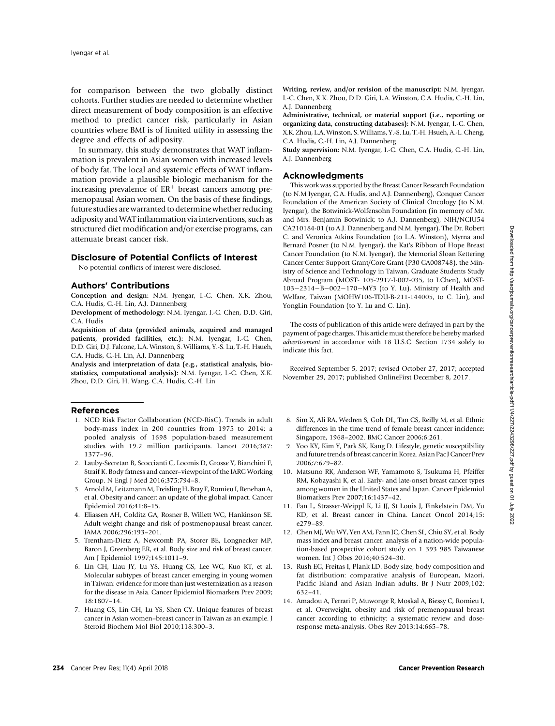for comparison between the two globally distinct cohorts. Further studies are needed to determine whether direct measurement of body composition is an effective method to predict cancer risk, particularly in Asian countries where BMI is of limited utility in assessing the degree and effects of adiposity.

In summary, this study demonstrates that WAT inflammation is prevalent in Asian women with increased levels of body fat. The local and systemic effects of WAT inflammation provide a plausible biologic mechanism for the increasing prevalence of  $ER^+$  breast cancers among premenopausal Asian women. On the basis of these findings, future studies are warranted to determine whether reducing adiposity andWAT inflammation via interventions, such as structured diet modification and/or exercise programs, can attenuate breast cancer risk.

#### Disclosure of Potential Conflicts of Interest

No potential conflicts of interest were disclosed.

## Authors' Contributions

Conception and design: N.M. Iyengar, I.-C. Chen, X.K. Zhou, C.A. Hudis, C.-H. Lin, A.J. Dannenberg

Development of methodology: N.M. Iyengar, I.-C. Chen, D.D. Giri, C.A. Hudis

Acquisition of data (provided animals, acquired and managed patients, provided facilities, etc.): N.M. Iyengar, I.-C. Chen, D.D. Giri, D.J. Falcone, L.A. Winston, S. Williams, Y.-S. Lu, T.-H. Hsueh, C.A. Hudis, C.-H. Lin, A.J. Dannenberg

Analysis and interpretation of data (e.g., statistical analysis, biostatistics, computational analysis): N.M. Iyengar, I.-C. Chen, X.K. Zhou, D.D. Giri, H. Wang, C.A. Hudis, C.-H. Lin

#### References

- 1. NCD Risk Factor Collaboration (NCD-RisC). Trends in adult body-mass index in 200 countries from 1975 to 2014: a pooled analysis of 1698 population-based measurement studies with 19.2 million participants. Lancet 2016;387: 1377–96.
- 2. Lauby-Secretan B, Scoccianti C, Loomis D, Grosse Y, Bianchini F, Straif K. Body fatness and cancer–viewpoint of the IARC Working Group. N Engl J Med 2016;375:794–8.
- 3. Arnold M, Leitzmann M, Freisling H, Bray F, Romieu I, Renehan A, et al. Obesity and cancer: an update of the global impact. Cancer Epidemiol 2016;41:8–15.
- 4. Eliassen AH, Colditz GA, Rosner B, Willett WC, Hankinson SE. Adult weight change and risk of postmenopausal breast cancer. JAMA 2006;296:193–201.
- 5. Trentham-Dietz A, Newcomb PA, Storer BE, Longnecker MP, Baron J, Greenberg ER, et al. Body size and risk of breast cancer. Am J Epidemiol 1997;145:1011–9.
- 6. Lin CH, Liau JY, Lu YS, Huang CS, Lee WC, Kuo KT, et al. Molecular subtypes of breast cancer emerging in young women in Taiwan: evidence for more than just westernization as a reason for the disease in Asia. Cancer Epidemiol Biomarkers Prev 2009; 18:1807–14.
- 7. Huang CS, Lin CH, Lu YS, Shen CY. Unique features of breast cancer in Asian women–breast cancer in Taiwan as an example. J Steroid Biochem Mol Biol 2010;118:300–3.

Writing, review, and/or revision of the manuscript: N.M. Iyengar, I.-C. Chen, X.K. Zhou, D.D. Giri, L.A. Winston, C.A. Hudis, C.-H. Lin, A.J. Dannenberg

Administrative, technical, or material support (i.e., reporting or organizing data, constructing databases): N.M. Iyengar, I.-C. Chen, X.K. Zhou, L.A. Winston, S. Williams, Y.-S. Lu, T.-H. Hsueh, A.-L. Cheng, C.A. Hudis, C.-H. Lin, A.J. Dannenberg

Study supervision: N.M. Iyengar, I.-C. Chen, C.A. Hudis, C.-H. Lin, A.J. Dannenberg

## Acknowledgments

This work was supported by the Breast Cancer Research Foundation (to N.M Iyengar, C.A. Hudis, and A.J. Dannenberg), Conquer Cancer Foundation of the American Society of Clinical Oncology (to N.M. Iyengar), the Botwinick-Wolfensohn Foundation (in memory of Mr. and Mrs. Benjamin Botwinick; to A.J. Dannenberg), NIH/NCIU54 CA210184-01 (to A.J. Dannenberg and N.M. Iyengar), The Dr. Robert C. and Veronica Atkins Foundation (to L.A. Winston), Myrna and Bernard Posner (to N.M. Iyengar), the Kat's Ribbon of Hope Breast Cancer Foundation (to N.M. Iyengar), the Memorial Sloan Kettering Cancer Center Support Grant/Core Grant (P30 CA008748), the Ministry of Science and Technology in Taiwan, Graduate Students Study Abroad Program (MOST- 105-2917-I-002-035, to I.Chen), MOST- $103-2314-B-002-170-MY3$  (to Y. Lu), Ministry of Health and Welfare, Taiwan (MOHW106-TDU-B-211-144005, to C. Lin), and YongLin Foundation (to Y. Lu and C. Lin).

The costs of publication of this article were defrayed in part by the payment of page charges. This article must therefore be hereby marked advertisement in accordance with 18 U.S.C. Section 1734 solely to indicate this fact.

Received September 5, 2017; revised October 27, 2017; accepted November 29, 2017; published OnlineFirst December 8, 2017.

- 8. Sim X, Ali RA, Wedren S, Goh DL, Tan CS, Reilly M, et al. Ethnic differences in the time trend of female breast cancer incidence: Singapore, 1968–2002. BMC Cancer 2006;6:261.
- 9. Yoo KY, Kim Y, Park SK, Kang D. Lifestyle, genetic susceptibility and future trends of breast cancer in Korea. Asian Pac J Cancer Prev 2006;7:679–82.
- 10. Matsuno RK, Anderson WF, Yamamoto S, Tsukuma H, Pfeiffer RM, Kobayashi K, et al. Early- and late-onset breast cancer types among women in the United States and Japan. Cancer Epidemiol Biomarkers Prev 2007;16:1437–42.
- 11. Fan L, Strasser-Weippl K, Li JJ, St Louis J, Finkelstein DM, Yu KD, et al. Breast cancer in China. Lancet Oncol 2014;15: e279–89.
- 12. Chen MJ, Wu WY, Yen AM, Fann JC, Chen SL, Chiu SY, et al. Body mass index and breast cancer: analysis of a nation-wide population-based prospective cohort study on 1 393 985 Taiwanese women. Int J Obes 2016;40:524–30.
- 13. Rush EC, Freitas I, Plank LD. Body size, body composition and fat distribution: comparative analysis of European, Maori, Pacific Island and Asian Indian adults. Br J Nutr 2009;102: 632–41.
- 14. Amadou A, Ferrari P, Muwonge R, Moskal A, Biessy C, Romieu I, et al. Overweight, obesity and risk of premenopausal breast cancer according to ethnicity: a systematic review and doseresponse meta-analysis. Obes Rev 2013;14:665–78.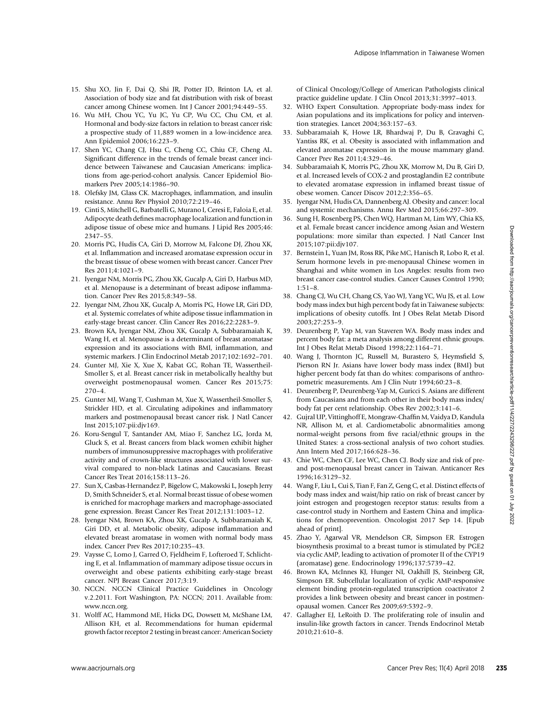- 15. Shu XO, Jin F, Dai Q, Shi JR, Potter JD, Brinton LA, et al. Association of body size and fat distribution with risk of breast cancer among Chinese women. Int J Cancer 2001;94:449–55.
- 16. Wu MH, Chou YC, Yu JC, Yu CP, Wu CC, Chu CM, et al. Hormonal and body-size factors in relation to breast cancer risk: a prospective study of 11,889 women in a low-incidence area. Ann Epidemiol 2006;16:223–9.
- 17. Shen YC, Chang CJ, Hsu C, Cheng CC, Chiu CF, Cheng AL. Significant difference in the trends of female breast cancer incidence between Taiwanese and Caucasian Americans: implications from age-period-cohort analysis. Cancer Epidemiol Biomarkers Prev 2005;14:1986–90.
- 18. Olefsky JM, Glass CK. Macrophages, inflammation, and insulin resistance. Annu Rev Physiol 2010;72:219–46.
- 19. Cinti S, Mitchell G, Barbatelli G, Murano I, Ceresi E, Faloia E, et al. Adipocyte death defines macrophage localization and function in adipose tissue of obese mice and humans. J Lipid Res 2005;46: 2347–55.
- 20. Morris PG, Hudis CA, Giri D, Morrow M, Falcone DJ, Zhou XK, et al. Inflammation and increased aromatase expression occur in the breast tissue of obese women with breast cancer. Cancer Prev Res 2011;4:1021–9.
- 21. Iyengar NM, Morris PG, Zhou XK, Gucalp A, Giri D, Harbus MD, et al. Menopause is a determinant of breast adipose inflammation. Cancer Prev Res 2015;8:349–58.
- 22. Iyengar NM, Zhou XK, Gucalp A, Morris PG, Howe LR, Giri DD, et al. Systemic correlates of white adipose tissue inflammation in early-stage breast cancer. Clin Cancer Res 2016;22:2283–9.
- 23. Brown KA, Iyengar NM, Zhou XK, Gucalp A, Subbaramaiah K, Wang H, et al. Menopause is a determinant of breast aromatase expression and its associations with BMI, inflammation, and systemic markers. J Clin Endocrinol Metab 2017;102:1692–701.
- 24. Gunter MJ, Xie X, Xue X, Kabat GC, Rohan TE, Wassertheil-Smoller S, et al. Breast cancer risk in metabolically healthy but overweight postmenopausal women. Cancer Res 2015;75: 270–4.
- 25. Gunter MJ, Wang T, Cushman M, Xue X, Wassertheil-Smoller S, Strickler HD, et al. Circulating adipokines and inflammatory markers and postmenopausal breast cancer risk. J Natl Cancer Inst 2015;107:pii:djv169.
- 26. Koru-Sengul T, Santander AM, Miao F, Sanchez LG, Jorda M, Gluck S, et al. Breast cancers from black women exhibit higher numbers of immunosuppressive macrophages with proliferative activity and of crown-like structures associated with lower survival compared to non-black Latinas and Caucasians. Breast Cancer Res Treat 2016;158:113–26.
- 27. Sun X, Casbas-Hernandez P, Bigelow C, Makowski L, Joseph Jerry D, Smith Schneider S, et al. Normal breast tissue of obese women is enriched for macrophage markers and macrophage-associated gene expression. Breast Cancer Res Treat 2012;131:1003–12.
- 28. Iyengar NM, Brown KA, Zhou XK, Gucalp A, Subbaramaiah K, Giri DD, et al. Metabolic obesity, adipose inflammation and elevated breast aromatase in women with normal body mass index. Cancer Prev Res 2017;10:235–43.
- 29. Vaysse C, Lomo J, Garred O, Fjeldheim F, Lofteroed T, Schlichting E, et al. Inflammation of mammary adipose tissue occurs in overweight and obese patients exhibiting early-stage breast cancer. NPJ Breast Cancer 2017;3:19.
- 30. NCCN. NCCN Clinical Practice Guidelines in Oncology v.2.2011. Fort Washington, PA: NCCN; 2011. Available from: [www.nccn.org.](www.nccn.org)
- 31. Wolff AC, Hammond ME, Hicks DG, Dowsett M, McShane LM, Allison KH, et al. Recommendations for human epidermal growth factor receptor 2 testing in breast cancer: American Society

of Clinical Oncology/College of American Pathologists clinical practice guideline update. J Clin Oncol 2013;31:3997–4013.

Adipose Inflammation in Taiwanese Women

- 32. WHO Expert Consultation. Appropriate body-mass index for Asian populations and its implications for policy and intervention strategies. Lancet 2004;363:157–63.
- 33. Subbaramaiah K, Howe LR, Bhardwaj P, Du B, Gravaghi C, Yantiss RK, et al. Obesity is associated with inflammation and elevated aromatase expression in the mouse mammary gland. Cancer Prev Res 2011;4:329–46.
- 34. Subbaramaiah K, Morris PG, Zhou XK, Morrow M, Du B, Giri D, et al. Increased levels of COX-2 and prostaglandin E2 contribute to elevated aromatase expression in inflamed breast tissue of obese women. Cancer Discov 2012;2:356–65.
- 35. Iyengar NM, Hudis CA, Dannenberg AJ. Obesity and cancer: local and systemic mechanisms. Annu Rev Med 2015;66:297–309.
- 36. Sung H, Rosenberg PS, Chen WQ, Hartman M, Lim WY, Chia KS, et al. Female breast cancer incidence among Asian and Western populations: more similar than expected. J Natl Cancer Inst 2015;107:pii:djv107.
- 37. Bernstein L, Yuan JM, Ross RK, Pike MC, Hanisch R, Lobo R, et al. Serum hormone levels in pre-menopausal Chinese women in Shanghai and white women in Los Angeles: results from two breast cancer case-control studies. Cancer Causes Control 1990; 1:51–8.
- 38. Chang CJ, Wu CH, Chang CS, Yao WJ, Yang YC, Wu JS, et al. Low body mass index but high percent body fat in Taiwanese subjects: implications of obesity cutoffs. Int J Obes Relat Metab Disord 2003;27:253–9.
- 39. Deurenberg P, Yap M, van Staveren WA. Body mass index and percent body fat: a meta analysis among different ethnic groups. Int J Obes Relat Metab Disord 1998;22:1164–71.
- 40. Wang J, Thornton JC, Russell M, Burastero S, Heymsfield S, Pierson RN Jr. Asians have lower body mass index (BMI) but higher percent body fat than do whites: comparisons of anthropometric measurements. Am J Clin Nutr 1994;60:23–8.
- 41. Deurenberg P, Deurenberg-Yap M, Guricci S. Asians are different from Caucasians and from each other in their body mass index/ body fat per cent relationship. Obes Rev 2002;3:141–6.
- 42. Gujral UP, Vittinghoff E, Mongraw-Chaffin M, Vaidya D, Kandula NR, Allison M, et al. Cardiometabolic abnormalities among normal-weight persons from five racial/ethnic groups in the United States: a cross-sectional analysis of two cohort studies. Ann Intern Med 2017;166:628–36.
- 43. Chie WC, Chen CF, Lee WC, Chen CJ. Body size and risk of preand post-menopausal breast cancer in Taiwan. Anticancer Res 1996;16:3129–32.
- 44. Wang F, Liu L, Cui S, Tian F, Fan Z, Geng C, et al. Distinct effects of body mass index and waist/hip ratio on risk of breast cancer by joint estrogen and progestogen receptor status: results from a case-control study in Northern and Eastern China and implications for chemoprevention. Oncologist 2017 Sep 14. [Epub ahead of print].
- 45. Zhao Y, Agarwal VR, Mendelson CR, Simpson ER. Estrogen biosynthesis proximal to a breast tumor is stimulated by PGE2 via cyclic AMP, leading to activation of promoter II of the CYP19 (aromatase) gene. Endocrinology 1996;137:5739–42.
- 46. Brown KA, McInnes KJ, Hunger NI, Oakhill JS, Steinberg GR, Simpson ER. Subcellular localization of cyclic AMP-responsive element binding protein-regulated transcription coactivator 2 provides a link between obesity and breast cancer in postmenopausal women. Cancer Res 2009;69:5392–9.
- 47. Gallagher EJ, LeRoith D. The proliferating role of insulin and insulin-like growth factors in cancer. Trends Endocrinol Metab 2010;21:610–8.